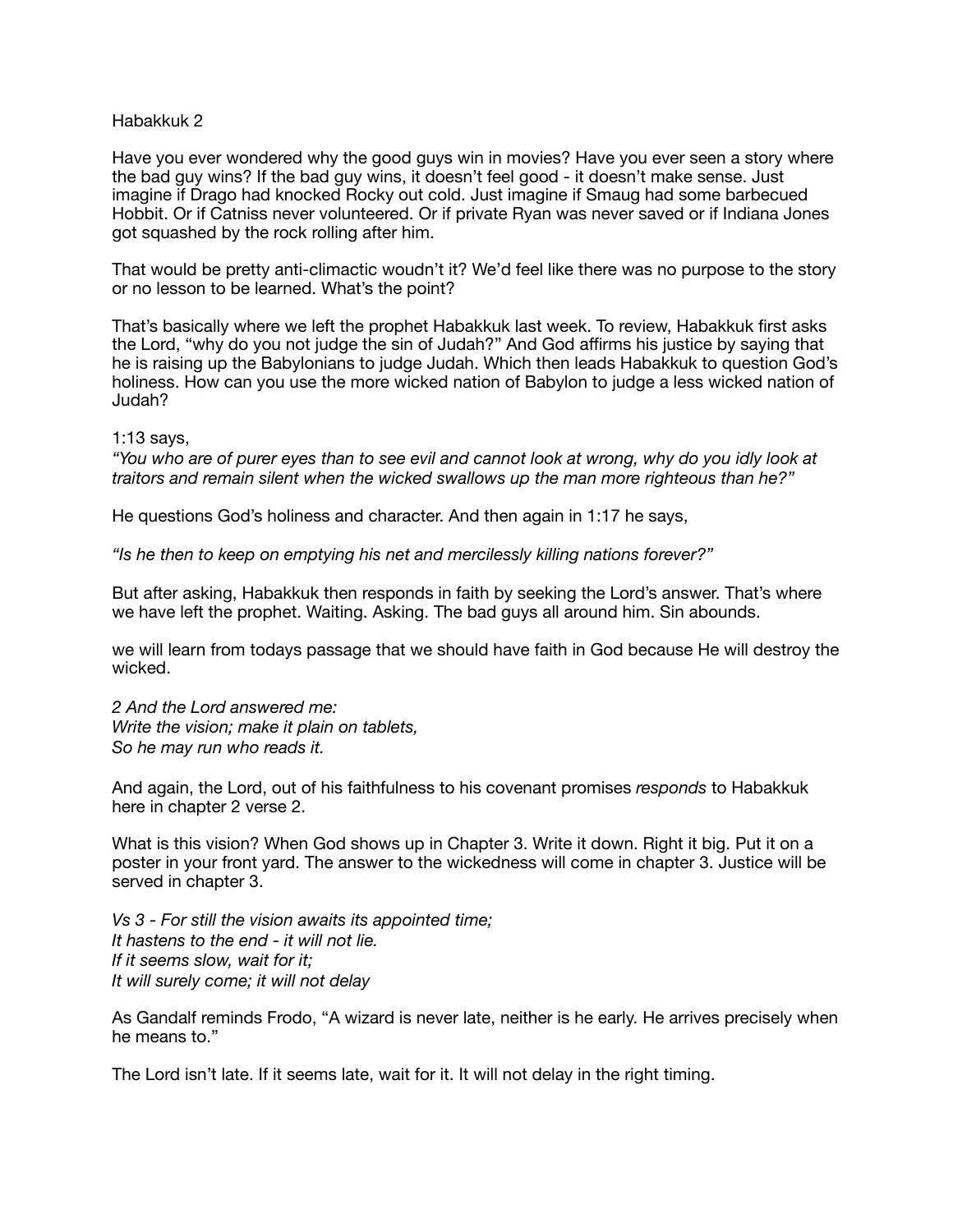## Habakkuk 2

Have you ever wondered why the good guys win in movies? Have you ever seen a story where the bad guy wins? If the bad guy wins, it doesn't feel good - it doesn't make sense. Just imagine if Drago had knocked Rocky out cold. Just imagine if Smaug had some barbecued Hobbit. Or if Catniss never volunteered. Or if private Ryan was never saved or if Indiana Jones got squashed by the rock rolling after him.

That would be pretty anti-climactic woudn't it? We'd feel like there was no purpose to the story or no lesson to be learned. What's the point?

That's basically where we left the prophet Habakkuk last week. To review, Habakkuk first asks the Lord, "why do you not judge the sin of Judah?" And God affirms his justice by saying that he is raising up the Babylonians to judge Judah. Which then leads Habakkuk to question God's holiness. How can you use the more wicked nation of Babylon to judge a less wicked nation of Judah?

1:13 says,

*"You who are of purer eyes than to see evil and cannot look at wrong, why do you idly look at traitors and remain silent when the wicked swallows up the man more righteous than he?"* 

He questions God's holiness and character. And then again in 1:17 he says,

*"Is he then to keep on emptying his net and mercilessly killing nations forever?"* 

But after asking, Habakkuk then responds in faith by seeking the Lord's answer. That's where we have left the prophet. Waiting. Asking. The bad guys all around him. Sin abounds.

we will learn from todays passage that we should have faith in God because He will destroy the wicked.

*2 And the Lord answered me: Write the vision; make it plain on tablets, So he may run who reads it.* 

And again, the Lord, out of his faithfulness to his covenant promises *responds* to Habakkuk here in chapter 2 verse 2.

What is this vision? When God shows up in Chapter 3. Write it down. Right it big. Put it on a poster in your front yard. The answer to the wickedness will come in chapter 3. Justice will be served in chapter 3.

*Vs 3 - For still the vision awaits its appointed time; It hastens to the end - it will not lie. If it seems slow, wait for it; It will surely come; it will not delay* 

As Gandalf reminds Frodo, "A wizard is never late, neither is he early. He arrives precisely when he means to."

The Lord isn't late. If it seems late, wait for it. It will not delay in the right timing.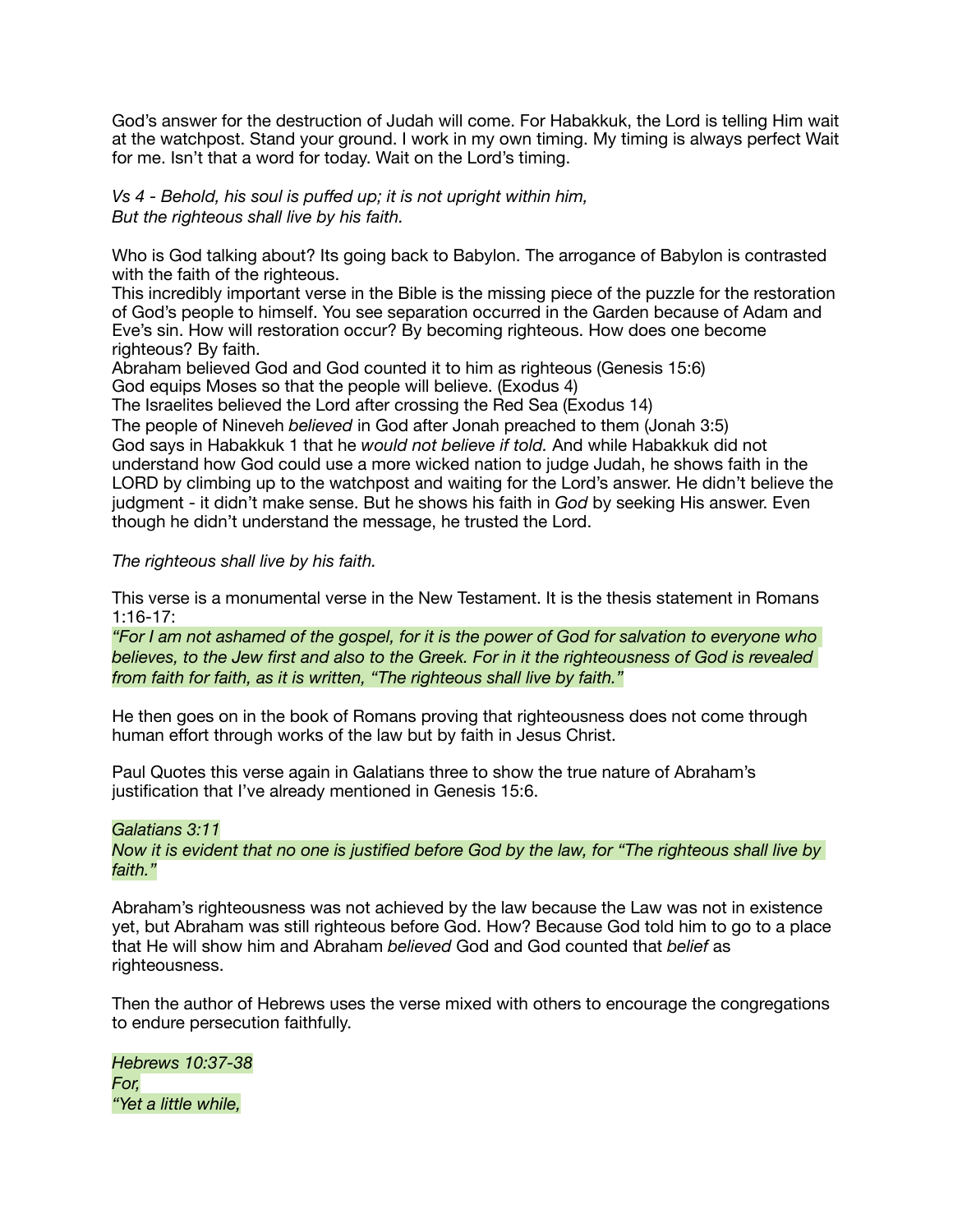God's answer for the destruction of Judah will come. For Habakkuk, the Lord is telling Him wait at the watchpost. Stand your ground. I work in my own timing. My timing is always perfect Wait for me. Isn't that a word for today. Wait on the Lord's timing.

*Vs 4 - Behold, his soul is puffed up; it is not upright within him, But the righteous shall live by his faith.* 

Who is God talking about? Its going back to Babylon. The arrogance of Babylon is contrasted with the faith of the righteous.

This incredibly important verse in the Bible is the missing piece of the puzzle for the restoration of God's people to himself. You see separation occurred in the Garden because of Adam and Eve's sin. How will restoration occur? By becoming righteous. How does one become righteous? By faith.

Abraham believed God and God counted it to him as righteous (Genesis 15:6) God equips Moses so that the people will believe. (Exodus 4)

The Israelites believed the Lord after crossing the Red Sea (Exodus 14)

The people of Nineveh *believed* in God after Jonah preached to them (Jonah 3:5) God says in Habakkuk 1 that he *would not believe if told.* And while Habakkuk did not understand how God could use a more wicked nation to judge Judah, he shows faith in the LORD by climbing up to the watchpost and waiting for the Lord's answer. He didn't believe the judgment - it didn't make sense. But he shows his faith in *God* by seeking His answer. Even though he didn't understand the message, he trusted the Lord.

# *The righteous shall live by his faith.*

This verse is a monumental verse in the New Testament. It is the thesis statement in Romans 1:16-17:

*"For I am not ashamed of the gospel, for it is the power of God for salvation to everyone who believes, to the Jew first and also to the Greek. For in it the righteousness of God is revealed from faith for faith, as it is written, "The righteous shall live by faith."* 

He then goes on in the book of Romans proving that righteousness does not come through human effort through works of the law but by faith in Jesus Christ.

Paul Quotes this verse again in Galatians three to show the true nature of Abraham's justification that I've already mentioned in Genesis 15:6.

## *Galatians 3:11*

*Now it is evident that no one is justified before God by the law, for "The righteous shall live by faith."* 

Abraham's righteousness was not achieved by the law because the Law was not in existence yet, but Abraham was still righteous before God. How? Because God told him to go to a place that He will show him and Abraham *believed* God and God counted that *belief* as righteousness.

Then the author of Hebrews uses the verse mixed with others to encourage the congregations to endure persecution faithfully.

*Hebrews 10:37-38 For, "Yet a little while,*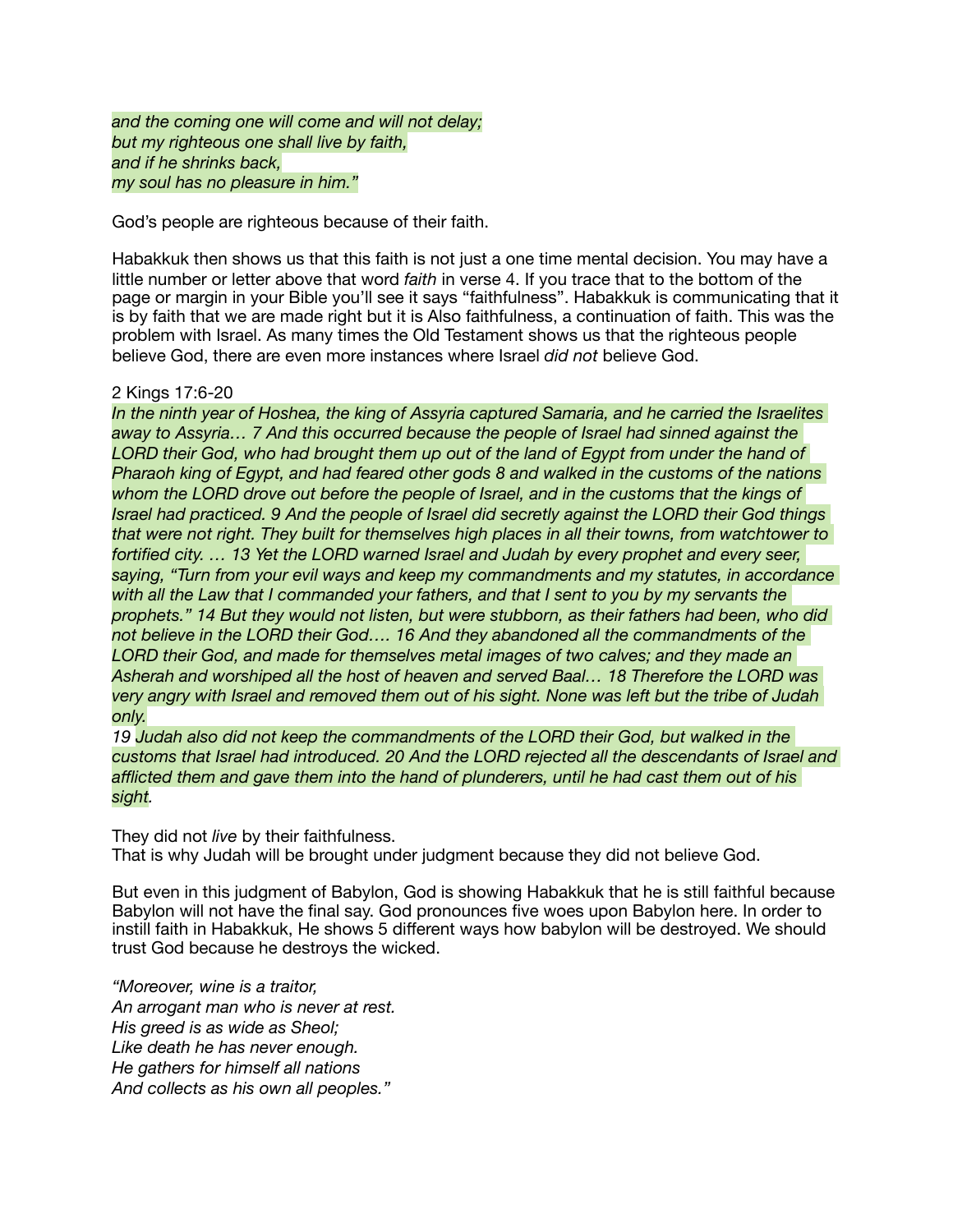*and the coming one will come and will not delay; but my righteous one shall live by faith, and if he shrinks back, my soul has no pleasure in him."* 

God's people are righteous because of their faith.

Habakkuk then shows us that this faith is not just a one time mental decision. You may have a little number or letter above that word *faith* in verse 4. If you trace that to the bottom of the page or margin in your Bible you'll see it says "faithfulness". Habakkuk is communicating that it is by faith that we are made right but it is Also faithfulness, a continuation of faith. This was the problem with Israel. As many times the Old Testament shows us that the righteous people believe God, there are even more instances where Israel *did not* believe God.

## 2 Kings 17:6-20

*In the ninth year of Hoshea, the king of Assyria captured Samaria, and he carried the Israelites away to Assyria… 7 And this occurred because the people of Israel had sinned against the LORD their God, who had brought them up out of the land of Egypt from under the hand of Pharaoh king of Egypt, and had feared other gods 8 and walked in the customs of the nations whom the LORD drove out before the people of Israel, and in the customs that the kings of Israel had practiced. 9 And the people of Israel did secretly against the LORD their God things that were not right. They built for themselves high places in all their towns, from watchtower to fortified city. … 13 Yet the LORD warned Israel and Judah by every prophet and every seer, saying, "Turn from your evil ways and keep my commandments and my statutes, in accordance with all the Law that I commanded your fathers, and that I sent to you by my servants the prophets." 14 But they would not listen, but were stubborn, as their fathers had been, who did not believe in the LORD their God…. 16 And they abandoned all the commandments of the LORD their God, and made for themselves metal images of two calves; and they made an Asherah and worshiped all the host of heaven and served Baal… 18 Therefore the LORD was very angry with Israel and removed them out of his sight. None was left but the tribe of Judah only.* 

*19 Judah also did not keep the commandments of the LORD their God, but walked in the customs that Israel had introduced. 20 And the LORD rejected all the descendants of Israel and afflicted them and gave them into the hand of plunderers, until he had cast them out of his sight.* 

They did not *live* by their faithfulness. That is why Judah will be brought under judgment because they did not believe God.

But even in this judgment of Babylon, God is showing Habakkuk that he is still faithful because Babylon will not have the final say. God pronounces five woes upon Babylon here. In order to instill faith in Habakkuk, He shows 5 different ways how babylon will be destroyed. We should trust God because he destroys the wicked.

*"Moreover, wine is a traitor, An arrogant man who is never at rest. His greed is as wide as Sheol; Like death he has never enough. He gathers for himself all nations And collects as his own all peoples."*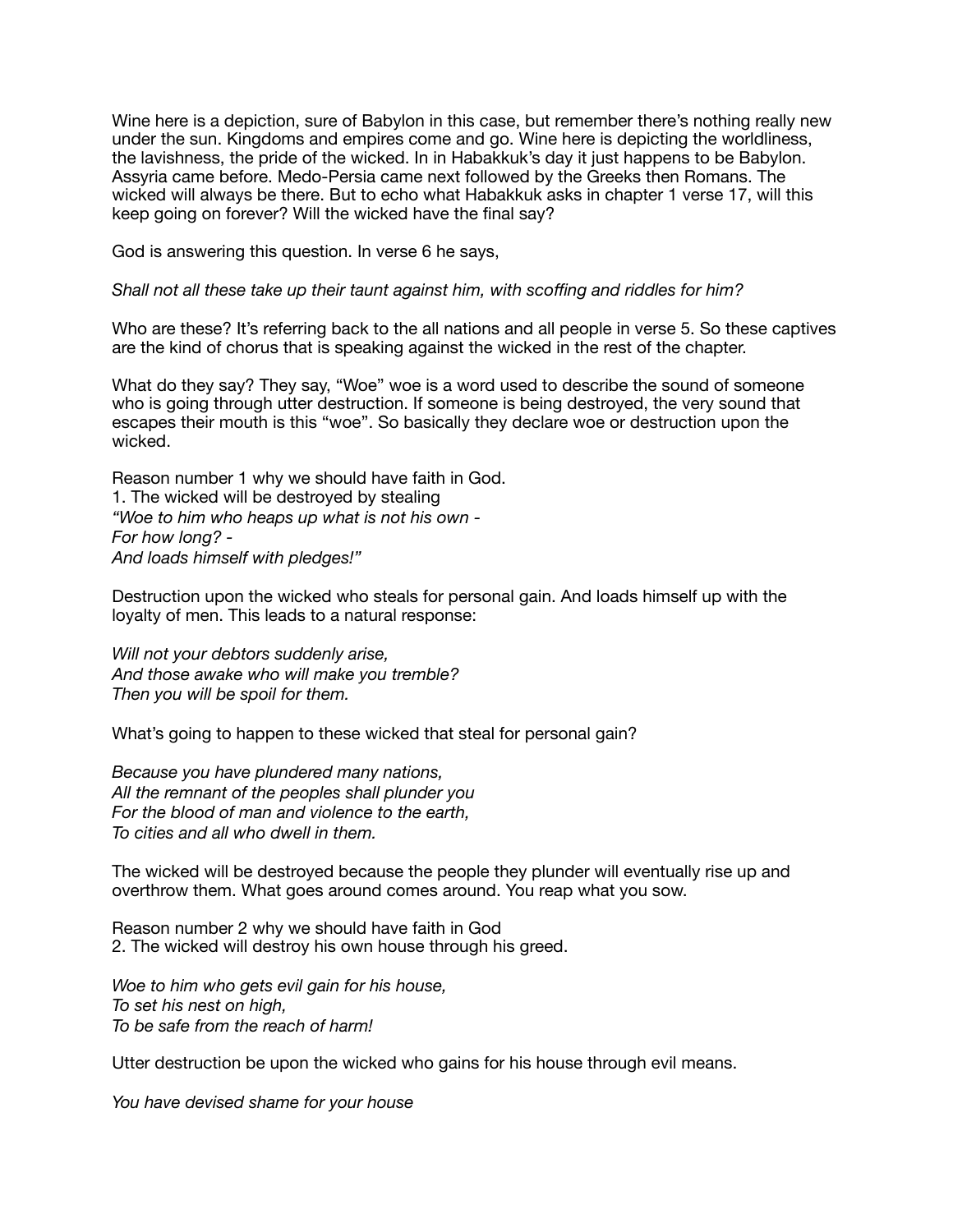Wine here is a depiction, sure of Babylon in this case, but remember there's nothing really new under the sun. Kingdoms and empires come and go. Wine here is depicting the worldliness, the lavishness, the pride of the wicked. In in Habakkuk's day it just happens to be Babylon. Assyria came before. Medo-Persia came next followed by the Greeks then Romans. The wicked will always be there. But to echo what Habakkuk asks in chapter 1 verse 17, will this keep going on forever? Will the wicked have the final say?

God is answering this question. In verse 6 he says,

#### *Shall not all these take up their taunt against him, with scoffing and riddles for him?*

Who are these? It's referring back to the all nations and all people in verse 5. So these captives are the kind of chorus that is speaking against the wicked in the rest of the chapter.

What do they say? They say, "Woe" woe is a word used to describe the sound of someone who is going through utter destruction. If someone is being destroyed, the very sound that escapes their mouth is this "woe". So basically they declare woe or destruction upon the wicked.

Reason number 1 why we should have faith in God. 1. The wicked will be destroyed by stealing *"Woe to him who heaps up what is not his own - For how long? - And loads himself with pledges!"* 

Destruction upon the wicked who steals for personal gain. And loads himself up with the loyalty of men. This leads to a natural response:

*Will not your debtors suddenly arise, And those awake who will make you tremble? Then you will be spoil for them.* 

What's going to happen to these wicked that steal for personal gain?

*Because you have plundered many nations, All the remnant of the peoples shall plunder you For the blood of man and violence to the earth, To cities and all who dwell in them.* 

The wicked will be destroyed because the people they plunder will eventually rise up and overthrow them. What goes around comes around. You reap what you sow.

Reason number 2 why we should have faith in God 2. The wicked will destroy his own house through his greed.

*Woe to him who gets evil gain for his house, To set his nest on high, To be safe from the reach of harm!*

Utter destruction be upon the wicked who gains for his house through evil means.

*You have devised shame for your house*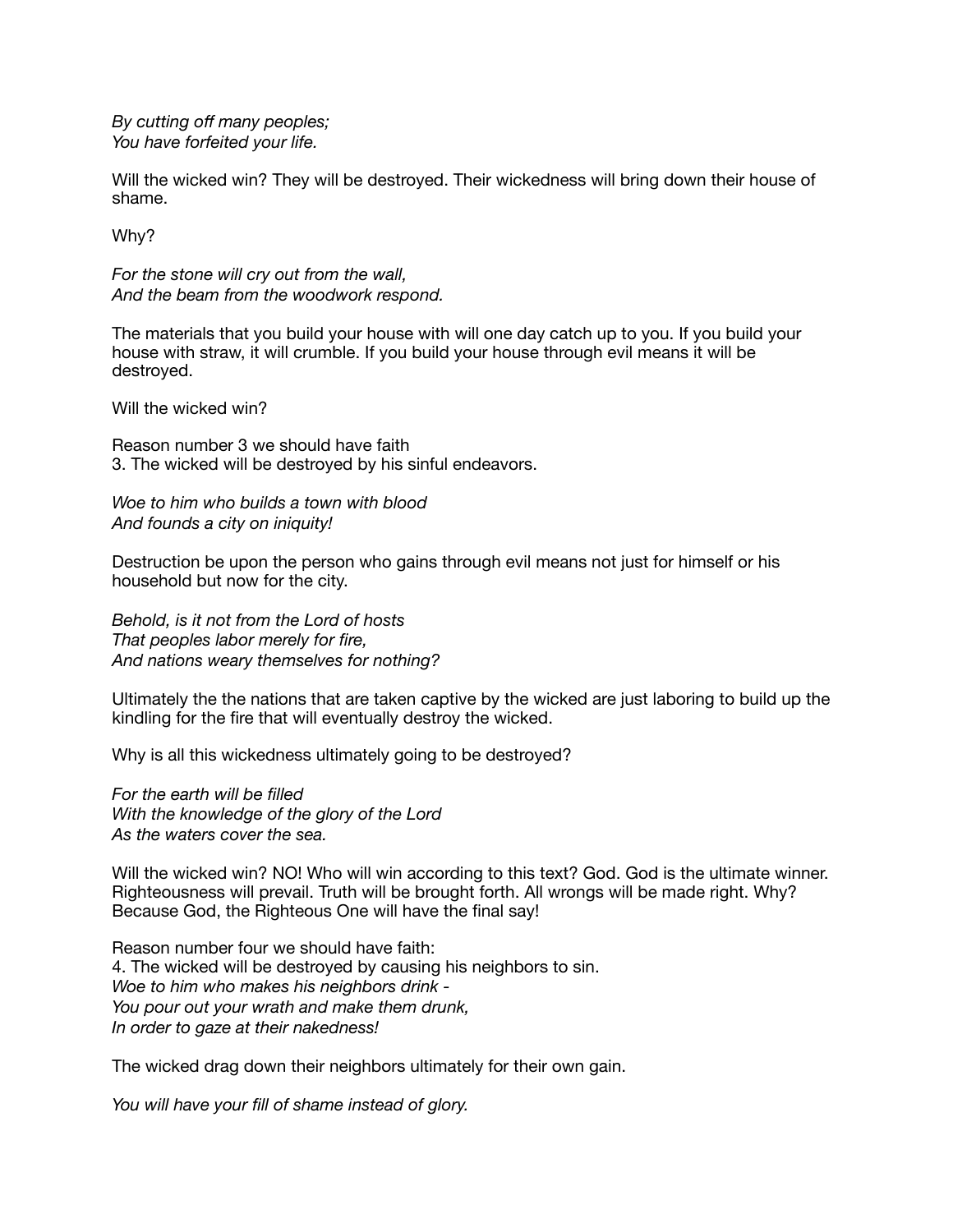*By cutting off many peoples; You have forfeited your life.* 

Will the wicked win? They will be destroyed. Their wickedness will bring down their house of shame.

Why?

*For the stone will cry out from the wall, And the beam from the woodwork respond.* 

The materials that you build your house with will one day catch up to you. If you build your house with straw, it will crumble. If you build your house through evil means it will be destroyed.

Will the wicked win?

Reason number 3 we should have faith 3. The wicked will be destroyed by his sinful endeavors.

*Woe to him who builds a town with blood And founds a city on iniquity!* 

Destruction be upon the person who gains through evil means not just for himself or his household but now for the city.

*Behold, is it not from the Lord of hosts That peoples labor merely for fire, And nations weary themselves for nothing?* 

Ultimately the the nations that are taken captive by the wicked are just laboring to build up the kindling for the fire that will eventually destroy the wicked.

Why is all this wickedness ultimately going to be destroyed?

*For the earth will be filled With the knowledge of the glory of the Lord As the waters cover the sea.* 

Will the wicked win? NO! Who will win according to this text? God. God is the ultimate winner. Righteousness will prevail. Truth will be brought forth. All wrongs will be made right. Why? Because God, the Righteous One will have the final say!

Reason number four we should have faith: 4. The wicked will be destroyed by causing his neighbors to sin. *Woe to him who makes his neighbors drink - You pour out your wrath and make them drunk, In order to gaze at their nakedness!* 

The wicked drag down their neighbors ultimately for their own gain.

*You will have your fill of shame instead of glory.*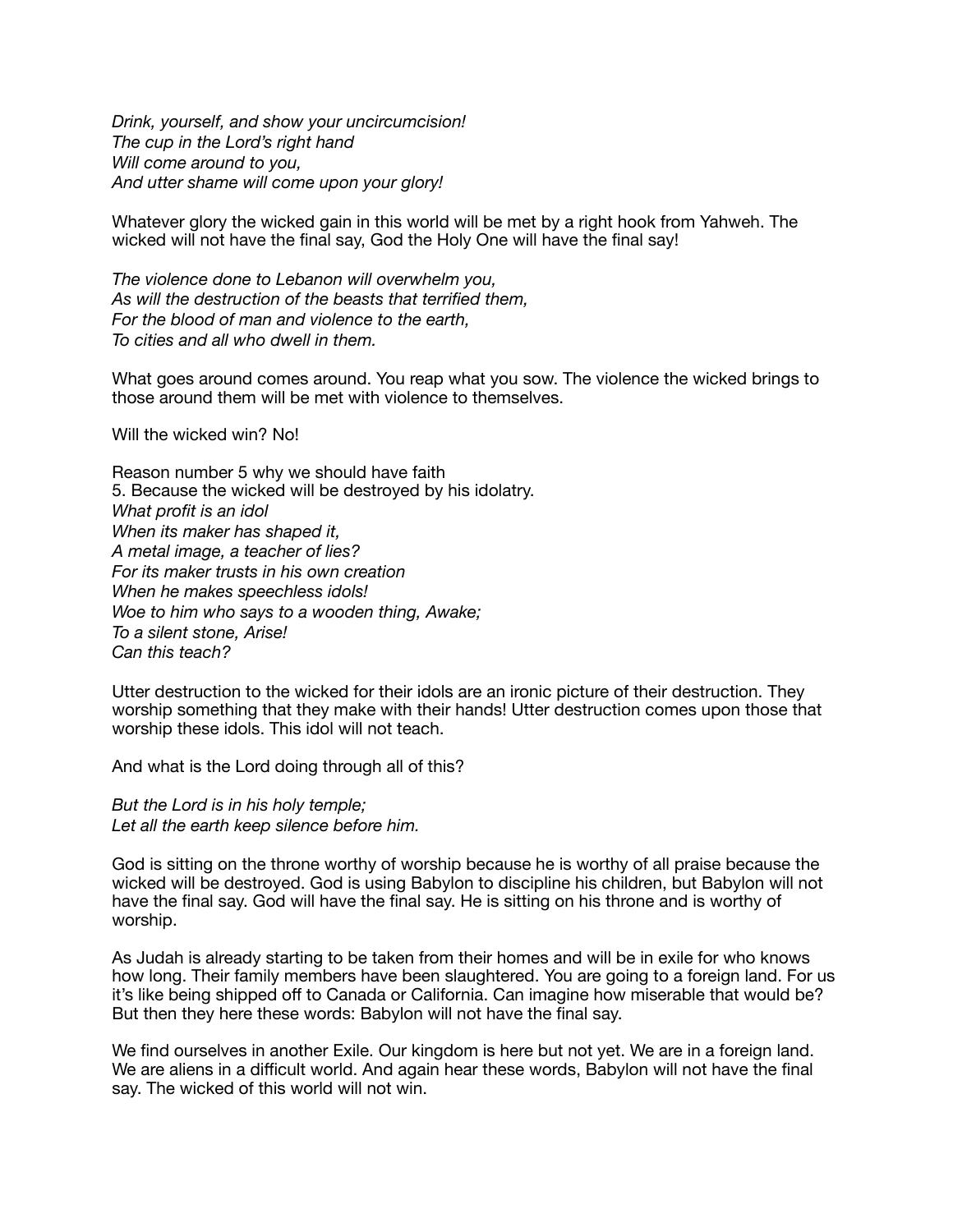*Drink, yourself, and show your uncircumcision! The cup in the Lord's right hand Will come around to you, And utter shame will come upon your glory!* 

Whatever glory the wicked gain in this world will be met by a right hook from Yahweh. The wicked will not have the final say, God the Holy One will have the final say!

*The violence done to Lebanon will overwhelm you, As will the destruction of the beasts that terrified them, For the blood of man and violence to the earth, To cities and all who dwell in them.* 

What goes around comes around. You reap what you sow. The violence the wicked brings to those around them will be met with violence to themselves.

Will the wicked win? No!

Reason number 5 why we should have faith 5. Because the wicked will be destroyed by his idolatry. *What profit is an idol When its maker has shaped it, A metal image, a teacher of lies? For its maker trusts in his own creation When he makes speechless idols! Woe to him who says to a wooden thing, Awake; To a silent stone, Arise! Can this teach?* 

Utter destruction to the wicked for their idols are an ironic picture of their destruction. They worship something that they make with their hands! Utter destruction comes upon those that worship these idols. This idol will not teach.

And what is the Lord doing through all of this?

*But the Lord is in his holy temple; Let all the earth keep silence before him.* 

God is sitting on the throne worthy of worship because he is worthy of all praise because the wicked will be destroyed. God is using Babylon to discipline his children, but Babylon will not have the final say. God will have the final say. He is sitting on his throne and is worthy of worship.

As Judah is already starting to be taken from their homes and will be in exile for who knows how long. Their family members have been slaughtered. You are going to a foreign land. For us it's like being shipped off to Canada or California. Can imagine how miserable that would be? But then they here these words: Babylon will not have the final say.

We find ourselves in another Exile. Our kingdom is here but not yet. We are in a foreign land. We are aliens in a difficult world. And again hear these words, Babylon will not have the final say. The wicked of this world will not win.